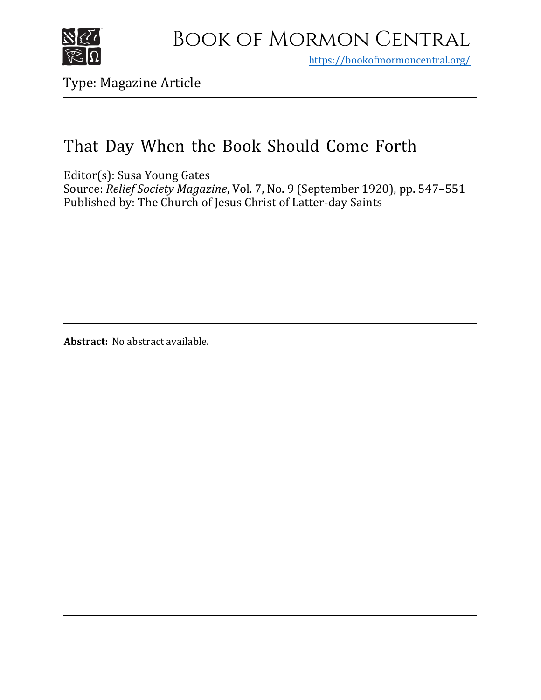

https[://bookofmormoncentral.org/](http://bookofmormoncentral.org/)

Type: Magazine Article

# That Day When the Book Should Come Forth

Editor(s): Susa Young Gates

Source: *Relief Society Magazine*, Vol. 7, No. 9 (September 1920), pp. 547–551 Published by: The Church of Jesus Christ of Latter-day Saints

**Abstract:** No abstract available.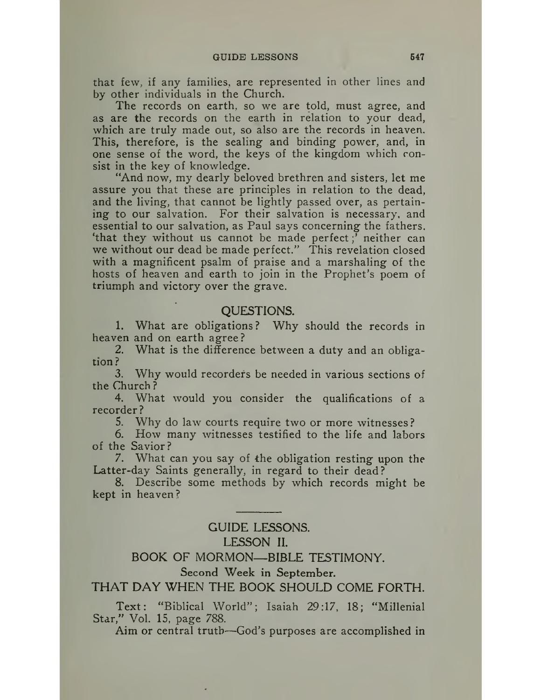that few, if any families, are represented in other lines and by other individuals in the Church.

The records on earth, so we are told, must agree, and as are the records on the earth in relation to your dead, which are truly made out, so also are the records in heaven. This, therefore, is the sealing and binding power, and, in one sense of the word, the keys of the kingdom which consist in the key of knowledge.

"And now, my dearly beloved brethren and sisters, let me assure you that these are principles in relation to the dead, and the living, that cannot be lightly passed over, as pertaining to our salvation. For their salvation is necessary, and essential to our salvation, as Paul says concerning the fathers, 'that they without us cannot be made perfect;' neither can we without our dead be made perfect." This revelation closed with a magnificent psalm of praise and a marshaling of the hosts of heaven and earth to join in the Prophet's poem of triumph and victory over the grave.

#### QUESTIONS.

1. What are obligations? Why should the records in heaven and on earth agree?

2. What is the difference between a duty and an obligation?

3. Why would recorders be needed in various sections of the Church ?

4. What would you consider the qualifications of a recorder?

5. Why do law courts require two or more witnesses?

6. How many witnesses testified to the life and labors of the Savior?

7. What can you say of the obligation resting upon the Latter-day Saints generally, in regard to their dead?

8. Describe some methods by which records might be kept in heaven?

## GUIDE LESSONS. LESSON II.

## BOOK OF MORMON—BIBLE TESTIMONY.

### Second Week in September.

### THAT DAY WHEN THE BOOK SHOULD COME FORTH.

Text: "Biblical World"; Isaiah 29:17, 18; "Millenial Star," Vol. 15, page 788.

Aim or central truth—God's purposes are accomplished in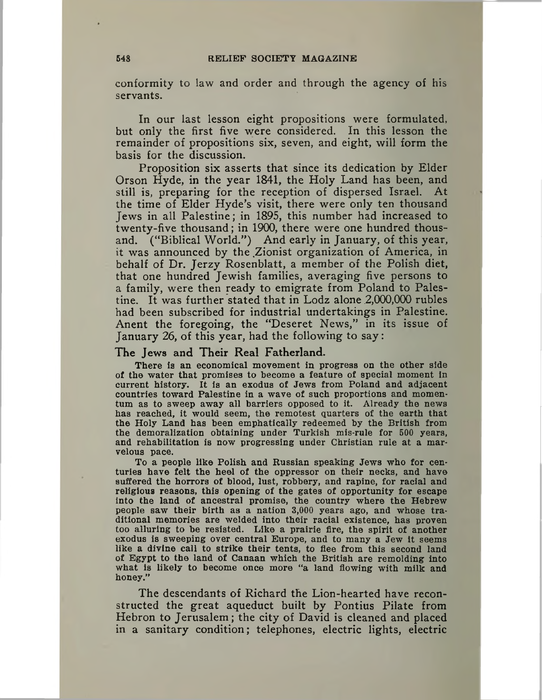conformity to law and order and through the agency of his servants.

In our last lesson eight propositions were formulated, but only the first five were considered. In this lesson the remainder of propositions six, seven, and eight, will form the basis for the discussion.

Proposition six asserts that since its dedication by Elder Orson Hyde, in the year 1841, the Holy Land has been, and still is, preparing for the reception of dispersed Israel. At the time of Elder Hyde's visit, there were only ten thousand Jews in all Palestine; in 1895, this number had increased to twenty-five thousand; in 1900, there were one hundred thousand. ("Biblical World.") And early in January, of this year, it was announced by the Zionist organization of America, in behalf of Dr. Jerzy Rosenblatt, a member of the Polish diet, that one hundred Jewish families, averaging five persons to a family, were then ready to emigrate from Poland to Palestine. It was further stated that in Lodz alone  $2,000,000$  rubles had been subscribed for industrial undertakings in Palestine. Anent the foregoing, the "Deseret News," in its issue of January 26, of this year, had the following to say:

#### The Jews and Their Real Fatherland.

There is an economical movement in progress on the other side of the water that promises to become a feature of special moment in current history. It is an exodus of Jews from Poland and adjacent countries toward Palestine in a wave of such proportions and momentum as to sweep away all barriers opposed to it. Already the news has reached, it would seem, the remotest quarters of the earth that the Holy Land has been emphatically redeemed by the British from the demoralization obtaining under Turkish mis-rule for 500 years, and rehabilitation is now progressing under Christian rule at a marvelous pace.

To a people like Polish and Russian speaking Jews who for centuries have felt the heel of the oppressor on their necks, and have suffered the horrors of blood, lust, robbery, and rapine, for racial and religious reasons, this opening of the gates of opportunity for escape into the land of ancestral promise, the country where the Hebrew people saw their birth as a nation 3,000 years ago, and whose traditional memories are welded into their racial existence, has proven too alluring to be resisted. Like a prairie fire, the spirit of another exodus is sweeping over central Europe, and to many a Jew it seems like a divine call to strike their tents, to flee from this second land of Egypt to the land of Canaan which the British are remolding into what is likely to become once more "a land flowing with milk and honey."

The descendants of Richard the Lion-hearted have reconstructed the great aqueduct built by Pontius Pilate from Hebron to Jerusalem; the city of David is cleaned and placed in a sanitary condition; telephones, electric lights, electric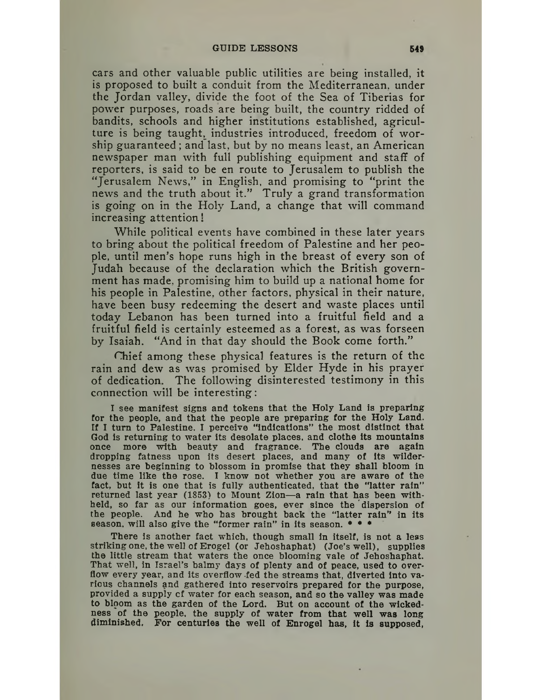cars and other valuable public utilities are being installed, it is proposed to built a conduit from the Mediterranean, under the Jordan valley, divide the foot of the Sea of Tiberias for power purposes, roads are being built, the country ridded of bandits, schools and higher institutions established, agriculture is being taught, industries introduced, freedom of worship guaranteed; and last, but by no means least, an American newspaper man with full publishing equipment and staff of reporters, is said to be en route to Jerusalem to publish the "Jerusalem News," in English, and promising to "print the news and the truth about it." Truly a grand transformation is going on in the Holy Land, a change that will command increasing attention'

While political events have combined in these later years to bring about the political freedom of Palestine and her people, until men's hope runs high in the breast of every son of Judah because of the declaration which the British government has made, promising him to build up a national home for his people in Palestine, other factors, physical in their nature, have been busy redeeming the desert and waste places until today Lebanon has been turned into a fruitful field and a fruitful field is certainly esteemed as a forest, as was forseen by Isaiah. "And in that day should the Book come forth."

Chief among these physical features is the return of the ram and dew as was promised by Elder Hyde in his prayer of dedication The following disinterested testimony in this connection will be interesting:

I see manifest signs and tokens that the Holy Land is preparing for the people, and that the people are preparing for the Holy Land. If I turn to Palestine. I perceive "indications" the most distinct that God is returning to water its desolate places, and clothe its mountains once more with heauty and fragrance. The clouds are again dropping fatness upon its desert places, and many of its wildernesses are beginning to blossom in promise that they shall bloom in due time like the rose. I know not whether you are aware of the fact, but it is one that is fully authenticated, that the "latter rain" returned last year (1853) to Mount Zion—a rain that has been withheld, so far as our information goes, ever since the dispersion of the people. And he who has brought back the "latter rain" in its season, will also give the "former rain" in its season.  $* * * *$ 

There is another fact which, though small in itself, is not a less striking one, the well of Erogel (or Jehoshaphat) (Joe's well), supplies the little stream that waters the once blooming vale of Jehoshaphat. That well, in Israel's balmy days of plenty and of peace, used to overflow every year, and its overflow fed the streams that, diverted into various channels and gathered into reservoirs prepared for the purpose, provided a supply cf water for each season, and so the valley was made to bloom as the garden of the Lord. But on account of the wickedness of the people, the supply of water from that well was long diminished. For centuries the well of Enrogel has, it is supposed,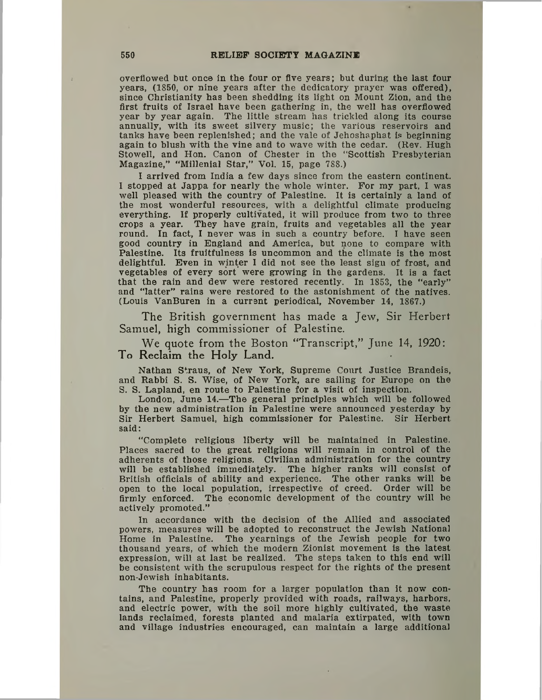overflowed but once in the four or five years; but during the last four years, (1850, or nine years after the dedicatory prayer was offered), since Christianity has been shedding its light on Mount Zion, and the first fruits of Israel have been gathering in, the well has overflowed year by year again. The little stream has trickled along its course annually, with its sweet silvery music; the various reservoirs and tanks have been replenished; and the vale of Jehoshaphat is beginning again to blush with the vine and to wave with the cedar. (Rev. Hugh Stowell, and Hon. Canon of Chester in the "Scottish Presbyterian Magazine," "Millenial Star," Vol. 15, page 788.)

I arrived from India a few days since from the eastern continent. I stopped at Jappa for nearly the whole winter. For my part, I was well pleased with the country of Palestine. It is certainly a land of the most wonderful resources, with a delightful climate producing everything. If properly cultivated, it will produce from two to three crops a year. They have grain, fruits and vegetables all the year round. In fact, I never was in such a country before. I have seen good country in England and America, but none to compare with Palestine. Its fruitfulness is uncommon and the climate is the most delightful. Even in winter I did not see the least sign of frost, and vegetables of every sort were growing in the gardens. It is a fact that the rain and dew were restored recently. In 1853, the "early" and "latter" rains were restored to the astonishment of the natives. (Louis VanBuren in a current periodical, November 14, 1867.)

The British government has made a Jew, Sir Herbert Samuel, high commissioner of Palestine.

We quote from the Boston "Transcript," June 14, 1920: To Reclaim the Holy Land.

Nathan Straus, of New York, Supreme Court Justice Brandeis, and Rabbi S. S. Wise, of New York, are sailing for Europe on the S. S. Lapland, en route to Palestine for a visit of inspection.

London, June 14.—The general principles which will be followed by the new administration in Palestine were announced yesterday by Sir Herbert Samuel, high commissioner for Palestine. Sir Herbert said:

"Complete religious liberty will be maintained in Palestine. Places sacred to the great religions will remain in control of the adherents of those religions. Civilian administration for the country will be established immediately. The higher ranks will consist of British officials of ability and experience. The other ranks will be open to the local population, irrespective of creed. Order will be firmly enforced. The economic development of the country will be actively promoted."

In accordance with the decision of the Allied and associated powers, measures will be adopted to reconstruct the Jewish National Home in Palestine. The yearnings of the Jewish people for two thousand years, of which the modern Zionist movement is the latest expression, will at last be realized. The steps taken to this end will be consistent with the scrupulous respect for the rights of the present non-Jewish inhabitants.

The country has room for a larger population than it now contains, and Palestine, properly provided with roads, railways, harbors, and electric power, with the soil more highly cultivated, the waste lands reclaimed, forests planted and malaria extirpated, with town and village industries encouraged, can maintain a large additional